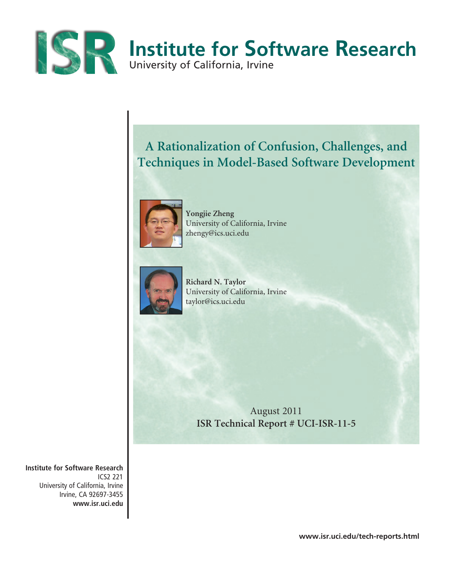

# **A Rationalization of Confusion, Challenges, and Techniques in Model-Based Software Development**



**Yongjie Zheng**  University of California, Irvine zhengy@ics.uci.edu



**Richard N. Taylor** University of California, Irvine taylor@ics.uci.edu

> August 2011 **ISR Technical Report # UCI-ISR-11-5**

**Institute for Software Research** ICS2 221 University of California, Irvine Irvine, CA 92697-3455 **www.isr.uci.edu**

**www.isr.uci.edu/tech-reports.html**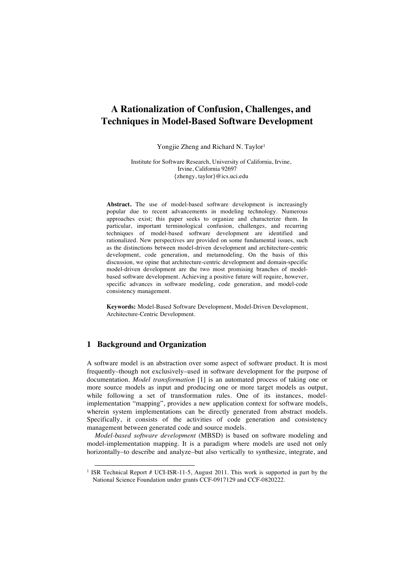## **A Rationalization of Confusion, Challenges, and Techniques in Model-Based Software Development**

Yongjie Zheng and Richard N. Taylor<sup>1</sup>

Institute for Software Research, University of California, Irvine, Irvine, California 92697 {zhengy, taylor}@ics.uci.edu

**Abstract.** The use of model-based software development is increasingly popular due to recent advancements in modeling technology. Numerous approaches exist; this paper seeks to organize and characterize them. In particular, important terminological confusion, challenges, and recurring techniques of model-based software development are identified and rationalized. New perspectives are provided on some fundamental issues, such as the distinctions between model-driven development and architecture-centric development, code generation, and metamodeling. On the basis of this discussion, we opine that architecture-centric development and domain-specific model-driven development are the two most promising branches of modelbased software development. Achieving a positive future will require, however, specific advances in software modeling, code generation, and model-code consistency management.

**Keywords:** Model-Based Software Development, Model-Driven Development, Architecture-Centric Development.

## **1 Background and Organization**

A software model is an abstraction over some aspect of software product. It is most frequently–though not exclusively–used in software development for the purpose of documentation. *Model transformation* [1] is an automated process of taking one or more source models as input and producing one or more target models as output, while following a set of transformation rules. One of its instances, modelimplementation "mapping", provides a new application context for software models, wherein system implementations can be directly generated from abstract models. Specifically, it consists of the activities of code generation and consistency management between generated code and source models.

*Model-based software development* (MBSD) is based on software modeling and model-implementation mapping. It is a paradigm where models are used not only horizontally–to describe and analyze–but also vertically to synthesize, integrate, and

<sup>&</sup>lt;sup>1</sup> ISR Technical Report # UCI-ISR-11-5, August 2011. This work is supported in part by the National Science Foundation under grants CCF-0917129 and CCF-0820222.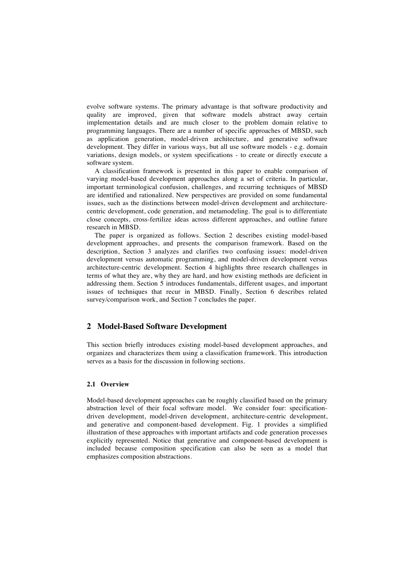evolve software systems. The primary advantage is that software productivity and quality are improved, given that software models abstract away certain implementation details and are much closer to the problem domain relative to programming languages. There are a number of specific approaches of MBSD, such as application generation, model-driven architecture, and generative software development. They differ in various ways, but all use software models - e.g. domain variations, design models, or system specifications - to create or directly execute a software system.

A classification framework is presented in this paper to enable comparison of varying model-based development approaches along a set of criteria. In particular, important terminological confusion, challenges, and recurring techniques of MBSD are identified and rationalized. New perspectives are provided on some fundamental issues, such as the distinctions between model-driven development and architecturecentric development, code generation, and metamodeling. The goal is to differentiate close concepts, cross-fertilize ideas across different approaches, and outline future research in MBSD.

The paper is organized as follows. Section 2 describes existing model-based development approaches, and presents the comparison framework. Based on the description, Section 3 analyzes and clarifies two confusing issues: model-driven development versus automatic programming, and model-driven development versus architecture-centric development. Section 4 highlights three research challenges in terms of what they are, why they are hard, and how existing methods are deficient in addressing them. Section 5 introduces fundamentals, different usages, and important issues of techniques that recur in MBSD. Finally, Section 6 describes related survey/comparison work, and Section 7 concludes the paper.

## **2 Model-Based Software Development**

This section briefly introduces existing model-based development approaches, and organizes and characterizes them using a classification framework. This introduction serves as a basis for the discussion in following sections.

#### **2.1 Overview**

Model-based development approaches can be roughly classified based on the primary abstraction level of their focal software model. We consider four: specificationdriven development, model-driven development, architecture-centric development, and generative and component-based development. Fig. 1 provides a simplified illustration of these approaches with important artifacts and code generation processes explicitly represented. Notice that generative and component-based development is included because composition specification can also be seen as a model that emphasizes composition abstractions.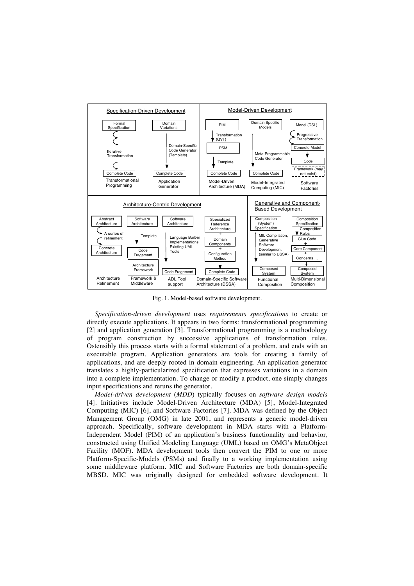

Fig. 1. Model-based software development.

*Specification-driven development* uses *requirements specifications* to create or directly execute applications. It appears in two forms: transformational programming [2] and application generation [3]. Transformational programming is a methodology of program construction by successive applications of transformation rules. Ostensibly this process starts with a formal statement of a problem, and ends with an executable program. Application generators are tools for creating a family of applications, and are deeply rooted in domain engineering. An application generator translates a highly-particularized specification that expresses variations in a domain into a complete implementation. To change or modify a product, one simply changes input specifications and reruns the generator.

*Model-driven development* (*MDD*) typically focuses on *software design models* [4]. Initiatives include Model-Driven Architecture (MDA) [5], Model-Integrated Computing (MIC) [6], and Software Factories [7]. MDA was defined by the Object Management Group (OMG) in late 2001, and represents a generic model-driven approach. Specifically, software development in MDA starts with a Platform-Independent Model (PIM) of an application's business functionality and behavior, constructed using Unified Modeling Language (UML) based on OMG's MetaObject Facility (MOF). MDA development tools then convert the PIM to one or more Platform-Specific-Models (PSMs) and finally to a working implementation using some middleware platform. MIC and Software Factories are both domain-specific MBSD. MIC was originally designed for embedded software development. It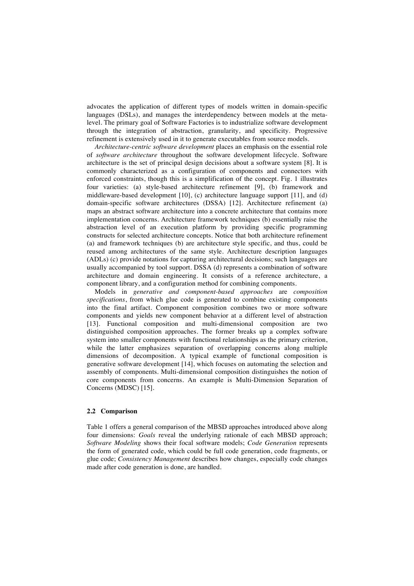advocates the application of different types of models written in domain-specific languages (DSLs), and manages the interdependency between models at the metalevel. The primary goal of Software Factories is to industrialize software development through the integration of abstraction, granularity, and specificity. Progressive refinement is extensively used in it to generate executables from source models.

*Architecture-centric software development* places an emphasis on the essential role of *software architecture* throughout the software development lifecycle. Software architecture is the set of principal design decisions about a software system [8]. It is commonly characterized as a configuration of components and connectors with enforced constraints, though this is a simplification of the concept. Fig. 1 illustrates four varieties: (a) style-based architecture refinement [9], (b) framework and middleware-based development  $[10]$ , (c) architecture language support  $[11]$ , and (d) domain-specific software architectures (DSSA) [12]. Architecture refinement (a) maps an abstract software architecture into a concrete architecture that contains more implementation concerns. Architecture framework techniques (b) essentially raise the abstraction level of an execution platform by providing specific programming constructs for selected architecture concepts. Notice that both architecture refinement (a) and framework techniques (b) are architecture style specific, and thus, could be reused among architectures of the same style. Architecture description languages (ADLs) (c) provide notations for capturing architectural decisions; such languages are usually accompanied by tool support. DSSA (d) represents a combination of software architecture and domain engineering. It consists of a reference architecture, a component library, and a configuration method for combining components.

Models in *generative and component-based approaches* are *composition specifications*, from which glue code is generated to combine existing components into the final artifact. Component composition combines two or more software components and yields new component behavior at a different level of abstraction [13]. Functional composition and multi-dimensional composition are two distinguished composition approaches. The former breaks up a complex software system into smaller components with functional relationships as the primary criterion, while the latter emphasizes separation of overlapping concerns along multiple dimensions of decomposition. A typical example of functional composition is generative software development [14], which focuses on automating the selection and assembly of components. Multi-dimensional composition distinguishes the notion of core components from concerns. An example is Multi-Dimension Separation of Concerns (MDSC) [15].

#### **2.2 Comparison**

Table 1 offers a general comparison of the MBSD approaches introduced above along four dimensions: *Goals* reveal the underlying rationale of each MBSD approach; *Software Modeling* shows their focal software models; *Code Generation* represents the form of generated code, which could be full code generation, code fragments, or glue code; *Consistency Management* describes how changes, especially code changes made after code generation is done, are handled.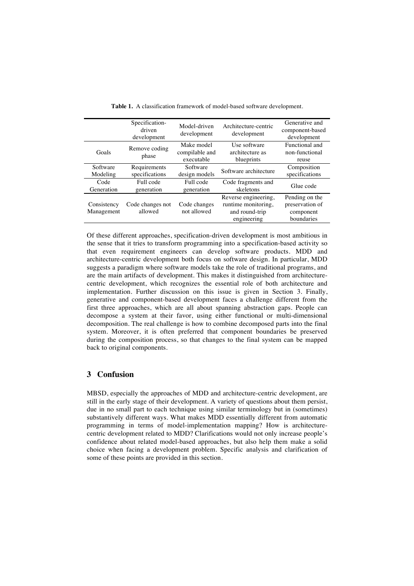|                           | Specification-<br>driven<br>development | Model-driven<br>development                | Architecture-centric<br>development                                          | Generative and<br>component-based<br>development             |
|---------------------------|-----------------------------------------|--------------------------------------------|------------------------------------------------------------------------------|--------------------------------------------------------------|
| Goals                     | Remove coding<br>phase                  | Make model<br>compilable and<br>executable | Use software<br>architecture as<br>blueprints                                | Functional and<br>non-functional<br>reuse                    |
| Software<br>Modeling      | Requirements<br>specifications          | Software<br>design models                  | Software architecture                                                        | Composition<br>specifications                                |
| Code<br>Generation        | Full code<br>generation                 | Full code<br>generation                    | Code fragments and<br>skeletons                                              | Glue code                                                    |
| Consistency<br>Management | Code changes not<br>allowed             | Code changes<br>not allowed                | Reverse engineering,<br>runtime monitoring,<br>and round-trip<br>engineering | Pending on the<br>preservation of<br>component<br>boundaries |

**Table 1.** A classification framework of model-based software development.

Of these different approaches, specification-driven development is most ambitious in the sense that it tries to transform programming into a specification-based activity so that even requirement engineers can develop software products. MDD and architecture-centric development both focus on software design. In particular, MDD suggests a paradigm where software models take the role of traditional programs, and are the main artifacts of development. This makes it distinguished from architecturecentric development, which recognizes the essential role of both architecture and implementation. Further discussion on this issue is given in Section 3. Finally, generative and component-based development faces a challenge different from the first three approaches, which are all about spanning abstraction gaps. People can decompose a system at their favor, using either functional or multi-dimensional decomposition. The real challenge is how to combine decomposed parts into the final system. Moreover, it is often preferred that component boundaries be preserved during the composition process, so that changes to the final system can be mapped back to original components.

## **3 Confusion**

MBSD, especially the approaches of MDD and architecture-centric development, are still in the early stage of their development. A variety of questions about them persist, due in no small part to each technique using similar terminology but in (sometimes) substantively different ways. What makes MDD essentially different from automatic programming in terms of model-implementation mapping? How is architecturecentric development related to MDD? Clarifications would not only increase people's confidence about related model-based approaches, but also help them make a solid choice when facing a development problem. Specific analysis and clarification of some of these points are provided in this section.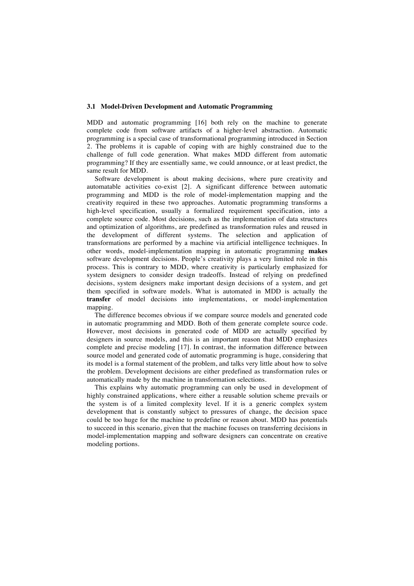#### **3.1 Model-Driven Development and Automatic Programming**

MDD and automatic programming [16] both rely on the machine to generate complete code from software artifacts of a higher-level abstraction. Automatic programming is a special case of transformational programming introduced in Section 2. The problems it is capable of coping with are highly constrained due to the challenge of full code generation. What makes MDD different from automatic programming? If they are essentially same, we could announce, or at least predict, the same result for MDD.

Software development is about making decisions, where pure creativity and automatable activities co-exist [2]. A significant difference between automatic programming and MDD is the role of model-implementation mapping and the creativity required in these two approaches. Automatic programming transforms a high-level specification, usually a formalized requirement specification, into a complete source code. Most decisions, such as the implementation of data structures and optimization of algorithms, are predefined as transformation rules and reused in the development of different systems. The selection and application of transformations are performed by a machine via artificial intelligence techniques. In other words, model-implementation mapping in automatic programming **makes** software development decisions. People's creativity plays a very limited role in this process. This is contrary to MDD, where creativity is particularly emphasized for system designers to consider design tradeoffs. Instead of relying on predefined decisions, system designers make important design decisions of a system, and get them specified in software models. What is automated in MDD is actually the **transfer** of model decisions into implementations, or model-implementation mapping.

The difference becomes obvious if we compare source models and generated code in automatic programming and MDD. Both of them generate complete source code. However, most decisions in generated code of MDD are actually specified by designers in source models, and this is an important reason that MDD emphasizes complete and precise modeling [17]. In contrast, the information difference between source model and generated code of automatic programming is huge, considering that its model is a formal statement of the problem, and talks very little about how to solve the problem. Development decisions are either predefined as transformation rules or automatically made by the machine in transformation selections.

This explains why automatic programming can only be used in development of highly constrained applications, where either a reusable solution scheme prevails or the system is of a limited complexity level. If it is a generic complex system development that is constantly subject to pressures of change, the decision space could be too huge for the machine to predefine or reason about. MDD has potentials to succeed in this scenario, given that the machine focuses on transferring decisions in model-implementation mapping and software designers can concentrate on creative modeling portions.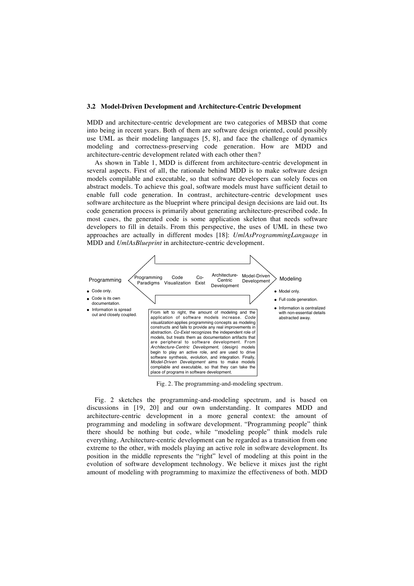#### **3.2 Model-Driven Development and Architecture-Centric Development**

MDD and architecture-centric development are two categories of MBSD that come into being in recent years. Both of them are software design oriented, could possibly use UML as their modeling languages [5, 8], and face the challenge of dynamics modeling and correctness-preserving code generation. How are MDD and architecture-centric development related with each other then?

As shown in Table 1, MDD is different from architecture-centric development in several aspects. First of all, the rationale behind MDD is to make software design models compilable and executable, so that software developers can solely focus on abstract models. To achieve this goal, software models must have sufficient detail to enable full code generation. In contrast, architecture-centric development uses software architecture as the blueprint where principal design decisions are laid out. Its code generation process is primarily about generating architecture-prescribed code. In most cases, the generated code is some application skeleton that needs software developers to fill in details. From this perspective, the uses of UML in these two approaches are actually in different modes [18]: *UmlAsProgrammingLanguage* in MDD and *UmlAsBlueprint* in architecture-centric development.



Fig. 2. The programming-and-modeling spectrum.

Fig. 2 sketches the programming-and-modeling spectrum, and is based on discussions in [19, 20] and our own understanding. It compares MDD and architecture-centric development in a more general context: the amount of programming and modeling in software development. "Programming people" think there should be nothing but code, while "modeling people" think models rule everything. Architecture-centric development can be regarded as a transition from one extreme to the other, with models playing an active role in software development. Its position in the middle represents the "right" level of modeling at this point in the evolution of software development technology. We believe it mixes just the right amount of modeling with programming to maximize the effectiveness of both. MDD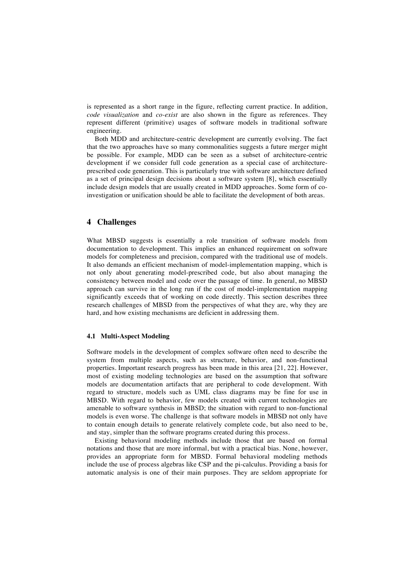is represented as a short range in the figure, reflecting current practice. In addition, *code visualization* and *co-exist* are also shown in the figure as references. They represent different (primitive) usages of software models in traditional software engineering.

Both MDD and architecture-centric development are currently evolving. The fact that the two approaches have so many commonalities suggests a future merger might be possible. For example, MDD can be seen as a subset of architecture-centric development if we consider full code generation as a special case of architectureprescribed code generation. This is particularly true with software architecture defined as a set of principal design decisions about a software system [8], which essentially include design models that are usually created in MDD approaches. Some form of coinvestigation or unification should be able to facilitate the development of both areas.

## **4 Challenges**

What MBSD suggests is essentially a role transition of software models from documentation to development. This implies an enhanced requirement on software models for completeness and precision, compared with the traditional use of models. It also demands an efficient mechanism of model-implementation mapping, which is not only about generating model-prescribed code, but also about managing the consistency between model and code over the passage of time. In general, no MBSD approach can survive in the long run if the cost of model-implementation mapping significantly exceeds that of working on code directly. This section describes three research challenges of MBSD from the perspectives of what they are, why they are hard, and how existing mechanisms are deficient in addressing them.

#### **4.1 Multi-Aspect Modeling**

Software models in the development of complex software often need to describe the system from multiple aspects, such as structure, behavior, and non-functional properties. Important research progress has been made in this area [21, 22]. However, most of existing modeling technologies are based on the assumption that software models are documentation artifacts that are peripheral to code development. With regard to structure, models such as UML class diagrams may be fine for use in MBSD. With regard to behavior, few models created with current technologies are amenable to software synthesis in MBSD; the situation with regard to non-functional models is even worse. The challenge is that software models in MBSD not only have to contain enough details to generate relatively complete code, but also need to be, and stay, simpler than the software programs created during this process.

Existing behavioral modeling methods include those that are based on formal notations and those that are more informal, but with a practical bias. None, however, provides an appropriate form for MBSD. Formal behavioral modeling methods include the use of process algebras like CSP and the pi-calculus. Providing a basis for automatic analysis is one of their main purposes. They are seldom appropriate for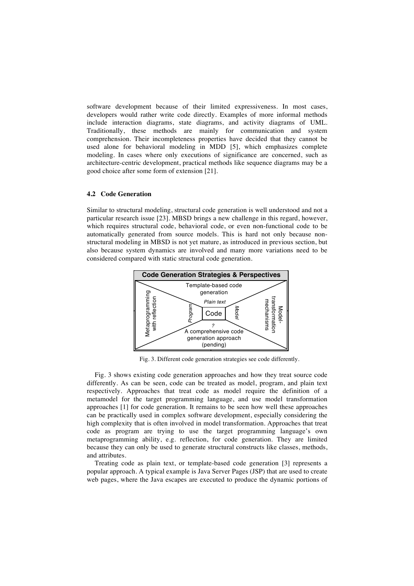software development because of their limited expressiveness. In most cases, developers would rather write code directly. Examples of more informal methods include interaction diagrams, state diagrams, and activity diagrams of UML. Traditionally, these methods are mainly for communication and system comprehension. Their incompleteness properties have decided that they cannot be used alone for behavioral modeling in MDD [5], which emphasizes complete modeling. In cases where only executions of significance are concerned, such as architecture-centric development, practical methods like sequence diagrams may be a good choice after some form of extension [21].

## **4.2 Code Generation**

Similar to structural modeling, structural code generation is well understood and not a particular research issue [23]. MBSD brings a new challenge in this regard, however, which requires structural code, behavioral code, or even non-functional code to be automatically generated from source models. This is hard not only because nonstructural modeling in MBSD is not yet mature, as introduced in previous section, but also because system dynamics are involved and many more variations need to be considered compared with static structural code generation.



Fig. 3. Different code generation strategies see code differently.

Fig. 3 shows existing code generation approaches and how they treat source code differently. As can be seen, code can be treated as model, program, and plain text respectively. Approaches that treat code as model require the definition of a metamodel for the target programming language, and use model transformation approaches [1] for code generation. It remains to be seen how well these approaches can be practically used in complex software development, especially considering the high complexity that is often involved in model transformation. Approaches that treat code as program are trying to use the target programming language's own metaprogramming ability, e.g. reflection, for code generation. They are limited because they can only be used to generate structural constructs like classes, methods, and attributes.

Treating code as plain text, or template-based code generation [3] represents a popular approach. A typical example is Java Server Pages (JSP) that are used to create web pages, where the Java escapes are executed to produce the dynamic portions of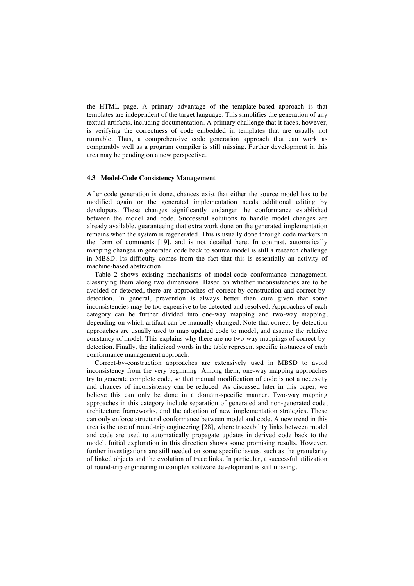the HTML page. A primary advantage of the template-based approach is that templates are independent of the target language. This simplifies the generation of any textual artifacts, including documentation. A primary challenge that it faces, however, is verifying the correctness of code embedded in templates that are usually not runnable. Thus, a comprehensive code generation approach that can work as comparably well as a program compiler is still missing. Further development in this area may be pending on a new perspective.

## **4.3 Model-Code Consistency Management**

After code generation is done, chances exist that either the source model has to be modified again or the generated implementation needs additional editing by developers. These changes significantly endanger the conformance established between the model and code. Successful solutions to handle model changes are already available, guaranteeing that extra work done on the generated implementation remains when the system is regenerated. This is usually done through code markers in the form of comments [19], and is not detailed here. In contrast, automatically mapping changes in generated code back to source model is still a research challenge in MBSD. Its difficulty comes from the fact that this is essentially an activity of machine-based abstraction.

Table 2 shows existing mechanisms of model-code conformance management, classifying them along two dimensions. Based on whether inconsistencies are to be avoided or detected, there are approaches of correct-by-construction and correct-bydetection. In general, prevention is always better than cure given that some inconsistencies may be too expensive to be detected and resolved. Approaches of each category can be further divided into one-way mapping and two-way mapping, depending on which artifact can be manually changed. Note that correct-by-detection approaches are usually used to map updated code to model, and assume the relative constancy of model. This explains why there are no two-way mappings of correct-bydetection. Finally, the italicized words in the table represent specific instances of each conformance management approach.

Correct-by-construction approaches are extensively used in MBSD to avoid inconsistency from the very beginning. Among them, one-way mapping approaches try to generate complete code, so that manual modification of code is not a necessity and chances of inconsistency can be reduced. As discussed later in this paper, we believe this can only be done in a domain-specific manner. Two-way mapping approaches in this category include separation of generated and non-generated code, architecture frameworks, and the adoption of new implementation strategies. These can only enforce structural conformance between model and code. A new trend in this area is the use of round-trip engineering [28], where traceability links between model and code are used to automatically propagate updates in derived code back to the model. Initial exploration in this direction shows some promising results. However, further investigations are still needed on some specific issues, such as the granularity of linked objects and the evolution of trace links. In particular, a successful utilization of round-trip engineering in complex software development is still missing.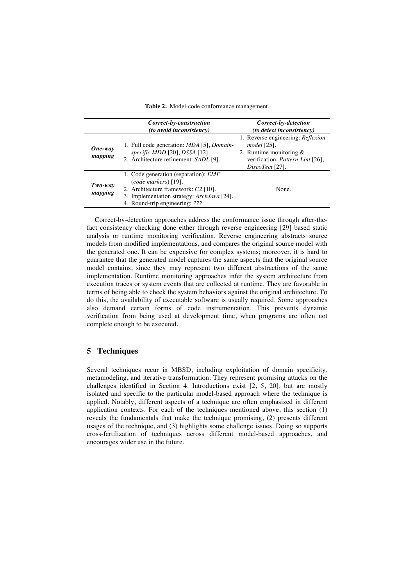|  |  | Table 2. Model-code conformance management. |  |
|--|--|---------------------------------------------|--|
|--|--|---------------------------------------------|--|

|                      | Correct-by-construction<br><i>(to avoid inconsistency)</i>                                                                                                                                      | Correct-by-detection<br>(to detect inconsistency)                                                                                              |
|----------------------|-------------------------------------------------------------------------------------------------------------------------------------------------------------------------------------------------|------------------------------------------------------------------------------------------------------------------------------------------------|
| One-way<br>mapping   | 1. Full code generation: MDA [5], Domain-<br>specific MDD $[20]$ , DSSA $[12]$ .<br>2. Architecture refinement: SADL [9].                                                                       | 1. Reverse engineering: Reflexion<br>$model$ [25].<br>2. Runtime monitoring $\&$<br>verification: <i>Pattern-Lint</i> [26],<br>DiscoTect [27]. |
| $Two-way$<br>mapping | 1. Code generation (separation): <i>EMF</i><br>$(code$ markers $)$ [19].<br>2. Architecture framework: C2 [10].<br>3. Implementation strategy: ArchJava [24].<br>4. Round-trip engineering: ??? | None.                                                                                                                                          |

Correct-by-detection approaches address the conformance issue through after-thefact consistency checking done either through reverse engineering [29] based static analysis or runtime monitoring verification. Reverse engineering abstracts source models from modified implementations, and compares the original source model with the generated one. It can be expensive for complex systems; moreover, it is hard to guarantee that the generated model captures the same aspects that the original source model contains, since they may represent two different abstractions of the same implementation. Runtime monitoring approaches infer the system architecture from execution traces or system events that are collected at runtime. They are favorable in terms of being able to check the system behaviors against the original architecture. To do this, the availability of executable software is usually required. Some approaches also demand certain forms of code instrumentation. This prevents dynamic verification from being used at development time, when programs are often not complete enough to be executed.

## **5 Techniques**

Several techniques recur in MBSD, including exploitation of domain specificity, metamodeling, and iterative transformation. They represent promising attacks on the challenges identified in Section 4. Introductions exist [2, 5, 20], but are mostly isolated and specific to the particular model-based approach where the technique is applied. Notably, different aspects of a technique are often emphasized in different application contexts. For each of the techniques mentioned above, this section (1) reveals the fundamentals that make the technique promising, (2) presents different usages of the technique, and (3) highlights some challenge issues. Doing so supports cross-fertilization of techniques across different model-based approaches, and encourages wider use in the future.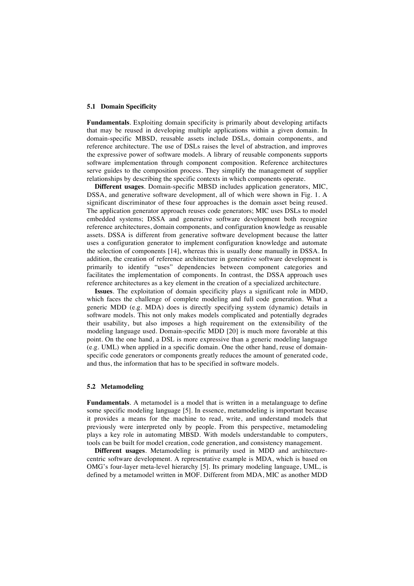#### **5.1 Domain Specificity**

**Fundamentals**. Exploiting domain specificity is primarily about developing artifacts that may be reused in developing multiple applications within a given domain. In domain-specific MBSD, reusable assets include DSLs, domain components, and reference architecture. The use of DSLs raises the level of abstraction, and improves the expressive power of software models. A library of reusable components supports software implementation through component composition. Reference architectures serve guides to the composition process. They simplify the management of supplier relationships by describing the specific contexts in which components operate.

**Different usages**. Domain-specific MBSD includes application generators, MIC, DSSA, and generative software development, all of which were shown in Fig. 1. A significant discriminator of these four approaches is the domain asset being reused. The application generator approach reuses code generators; MIC uses DSLs to model embedded systems; DSSA and generative software development both recognize reference architectures, domain components, and configuration knowledge as reusable assets. DSSA is different from generative software development because the latter uses a configuration generator to implement configuration knowledge and automate the selection of components [14], whereas this is usually done manually in DSSA. In addition, the creation of reference architecture in generative software development is primarily to identify "uses" dependencies between component categories and facilitates the implementation of components. In contrast, the DSSA approach uses reference architectures as a key element in the creation of a specialized architecture.

**Issues**. The exploitation of domain specificity plays a significant role in MDD, which faces the challenge of complete modeling and full code generation. What a generic MDD (e.g. MDA) does is directly specifying system (dynamic) details in software models. This not only makes models complicated and potentially degrades their usability, but also imposes a high requirement on the extensibility of the modeling language used. Domain-specific MDD [20] is much more favorable at this point. On the one hand, a DSL is more expressive than a generic modeling language (e.g. UML) when applied in a specific domain. One the other hand, reuse of domainspecific code generators or components greatly reduces the amount of generated code, and thus, the information that has to be specified in software models.

#### **5.2 Metamodeling**

**Fundamentals**. A metamodel is a model that is written in a metalanguage to define some specific modeling language [5]. In essence, metamodeling is important because it provides a means for the machine to read, write, and understand models that previously were interpreted only by people. From this perspective, metamodeling plays a key role in automating MBSD. With models understandable to computers, tools can be built for model creation, code generation, and consistency management.

**Different usages**. Metamodeling is primarily used in MDD and architecturecentric software development. A representative example is MDA, which is based on OMG's four-layer meta-level hierarchy [5]. Its primary modeling language, UML, is defined by a metamodel written in MOF. Different from MDA, MIC as another MDD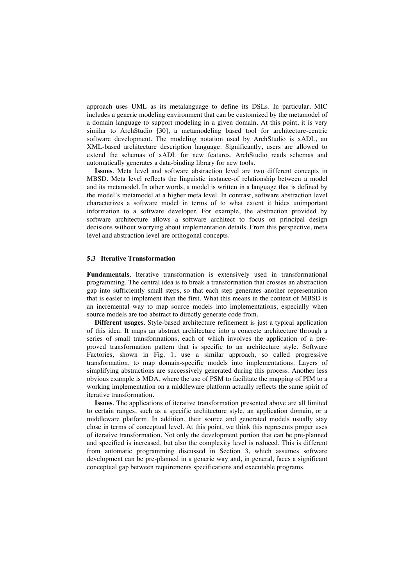approach uses UML as its metalanguage to define its DSLs. In particular, MIC includes a generic modeling environment that can be customized by the metamodel of a domain language to support modeling in a given domain. At this point, it is very similar to ArchStudio [30], a metamodeling based tool for architecture-centric software development. The modeling notation used by ArchStudio is xADL, an XML-based architecture description language. Significantly, users are allowed to extend the schemas of xADL for new features. ArchStudio reads schemas and automatically generates a data-binding library for new tools.

**Issues**. Meta level and software abstraction level are two different concepts in MBSD. Meta level reflects the linguistic instance-of relationship between a model and its metamodel. In other words, a model is written in a language that is defined by the model's metamodel at a higher meta level. In contrast, software abstraction level characterizes a software model in terms of to what extent it hides unimportant information to a software developer. For example, the abstraction provided by software architecture allows a software architect to focus on principal design decisions without worrying about implementation details. From this perspective, meta level and abstraction level are orthogonal concepts.

#### **5.3 Iterative Transformation**

**Fundamentals**. Iterative transformation is extensively used in transformational programming. The central idea is to break a transformation that crosses an abstraction gap into sufficiently small steps, so that each step generates another representation that is easier to implement than the first. What this means in the context of MBSD is an incremental way to map source models into implementations, especially when source models are too abstract to directly generate code from.

**Different usages**. Style-based architecture refinement is just a typical application of this idea. It maps an abstract architecture into a concrete architecture through a series of small transformations, each of which involves the application of a preproved transformation pattern that is specific to an architecture style. Software Factories, shown in Fig. 1, use a similar approach, so called progressive transformation, to map domain-specific models into implementations. Layers of simplifying abstractions are successively generated during this process. Another less obvious example is MDA, where the use of PSM to facilitate the mapping of PIM to a working implementation on a middleware platform actually reflects the same spirit of iterative transformation.

**Issues**. The applications of iterative transformation presented above are all limited to certain ranges, such as a specific architecture style, an application domain, or a middleware platform. In addition, their source and generated models usually stay close in terms of conceptual level. At this point, we think this represents proper uses of iterative transformation. Not only the development portion that can be pre-planned and specified is increased, but also the complexity level is reduced. This is different from automatic programming discussed in Section 3, which assumes software development can be pre-planned in a generic way and, in general, faces a significant conceptual gap between requirements specifications and executable programs.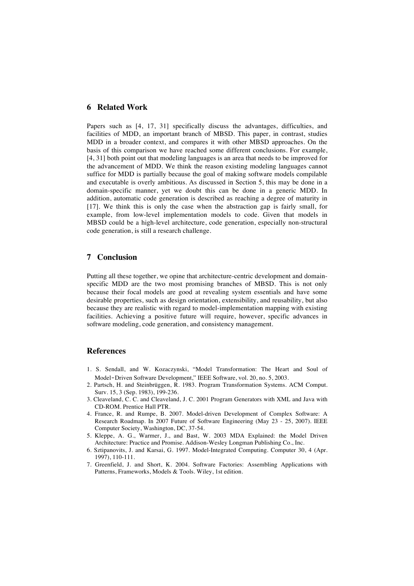#### **6 Related Work**

Papers such as [4, 17, 31] specifically discuss the advantages, difficulties, and facilities of MDD, an important branch of MBSD. This paper, in contrast, studies MDD in a broader context, and compares it with other MBSD approaches. On the basis of this comparison we have reached some different conclusions. For example, [4, 31] both point out that modeling languages is an area that needs to be improved for the advancement of MDD. We think the reason existing modeling languages cannot suffice for MDD is partially because the goal of making software models compilable and executable is overly ambitious. As discussed in Section 5, this may be done in a domain-specific manner, yet we doubt this can be done in a generic MDD. In addition, automatic code generation is described as reaching a degree of maturity in [17]. We think this is only the case when the abstraction gap is fairly small, for example, from low-level implementation models to code. Given that models in MBSD could be a high-level architecture, code generation, especially non-structural code generation, is still a research challenge.

## **7 Conclusion**

Putting all these together, we opine that architecture-centric development and domainspecific MDD are the two most promising branches of MBSD. This is not only because their focal models are good at revealing system essentials and have some desirable properties, such as design orientation, extensibility, and reusability, but also because they are realistic with regard to model-implementation mapping with existing facilities. Achieving a positive future will require, however, specific advances in software modeling, code generation, and consistency management.

#### **References**

- 1. S. Sendall, and W. Kozaczynski, "Model Transformation: The Heart and Soul of Model‐Driven Software Development," IEEE Software, vol. 20, no. 5, 2003.
- 2. Partsch, H. and Steinbrüggen, R. 1983. Program Transformation Systems. ACM Comput. Surv. 15, 3 (Sep. 1983), 199-236.
- 3. Cleaveland, C. C. and Cleaveland, J. C. 2001 Program Generators with XML and Java with CD-ROM. Prentice Hall PTR.
- 4. France, R. and Rumpe, B. 2007. Model-driven Development of Complex Software: A Research Roadmap. In 2007 Future of Software Engineering (May 23 - 25, 2007). IEEE Computer Society, Washington, DC, 37-54.
- 5. Kleppe, A. G., Warmer, J., and Bast, W. 2003 MDA Explained: the Model Driven Architecture: Practice and Promise. Addison-Wesley Longman Publishing Co., Inc.
- 6. Sztipanovits, J. and Karsai, G. 1997. Model-Integrated Computing. Computer 30, 4 (Apr. 1997), 110-111.
- 7. Greenfield, J. and Short, K. 2004. Software Factories: Assembling Applications with Patterns, Frameworks, Models & Tools. Wiley, 1st edition.